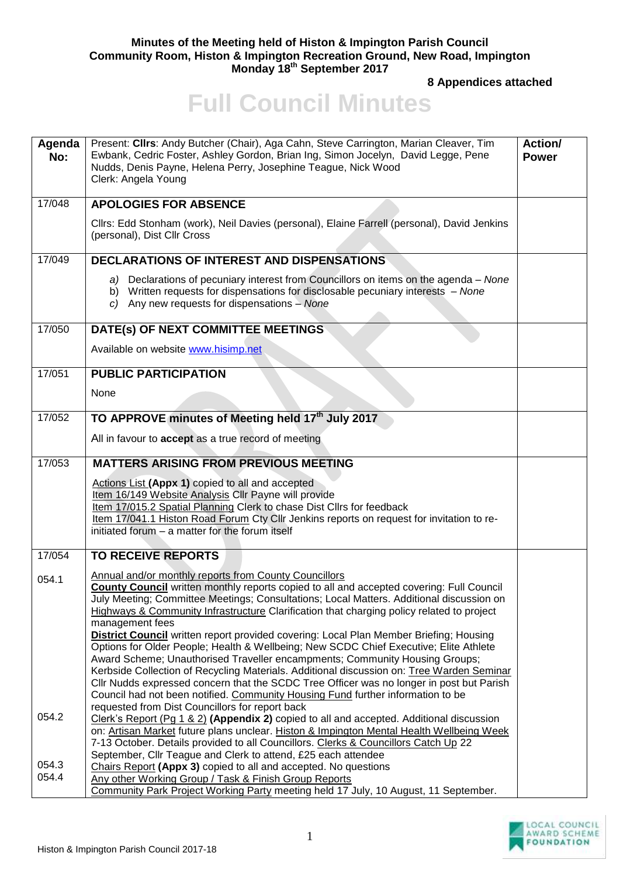## **Minutes of the Meeting held of Histon & Impington Parish Council Community Room, Histon & Impington Recreation Ground, New Road, Impington Monday 18th September 2017**

**8 Appendices attached** 

## **Full Council Minutes**

| Agenda<br>No:       | Present: Clirs: Andy Butcher (Chair), Aga Cahn, Steve Carrington, Marian Cleaver, Tim<br>Ewbank, Cedric Foster, Ashley Gordon, Brian Ing, Simon Jocelyn, David Legge, Pene<br>Nudds, Denis Payne, Helena Perry, Josephine Teague, Nick Wood<br>Clerk: Angela Young                                                                                                                                                                                                                                                                                                                                                                                                                                                                                                                                                                                                                                                                                                    | Action/<br><b>Power</b> |
|---------------------|-----------------------------------------------------------------------------------------------------------------------------------------------------------------------------------------------------------------------------------------------------------------------------------------------------------------------------------------------------------------------------------------------------------------------------------------------------------------------------------------------------------------------------------------------------------------------------------------------------------------------------------------------------------------------------------------------------------------------------------------------------------------------------------------------------------------------------------------------------------------------------------------------------------------------------------------------------------------------|-------------------------|
| $\frac{1}{17}{048}$ | <b>APOLOGIES FOR ABSENCE</b>                                                                                                                                                                                                                                                                                                                                                                                                                                                                                                                                                                                                                                                                                                                                                                                                                                                                                                                                          |                         |
|                     | Cllrs: Edd Stonham (work), Neil Davies (personal), Elaine Farrell (personal), David Jenkins<br>(personal), Dist Cllr Cross                                                                                                                                                                                                                                                                                                                                                                                                                                                                                                                                                                                                                                                                                                                                                                                                                                            |                         |
| 17/049              | <b>DECLARATIONS OF INTEREST AND DISPENSATIONS</b>                                                                                                                                                                                                                                                                                                                                                                                                                                                                                                                                                                                                                                                                                                                                                                                                                                                                                                                     |                         |
|                     | a) Declarations of pecuniary interest from Councillors on items on the agenda – None<br>b) Written requests for dispensations for disclosable pecuniary interests - None<br>c) Any new requests for dispensations $-$ None                                                                                                                                                                                                                                                                                                                                                                                                                                                                                                                                                                                                                                                                                                                                            |                         |
| 17/050              | DATE(s) OF NEXT COMMITTEE MEETINGS                                                                                                                                                                                                                                                                                                                                                                                                                                                                                                                                                                                                                                                                                                                                                                                                                                                                                                                                    |                         |
|                     | Available on website www.hisimp.net                                                                                                                                                                                                                                                                                                                                                                                                                                                                                                                                                                                                                                                                                                                                                                                                                                                                                                                                   |                         |
| 17/051              | <b>PUBLIC PARTICIPATION</b>                                                                                                                                                                                                                                                                                                                                                                                                                                                                                                                                                                                                                                                                                                                                                                                                                                                                                                                                           |                         |
|                     | None                                                                                                                                                                                                                                                                                                                                                                                                                                                                                                                                                                                                                                                                                                                                                                                                                                                                                                                                                                  |                         |
| 17/052              | TO APPROVE minutes of Meeting held 17th July 2017                                                                                                                                                                                                                                                                                                                                                                                                                                                                                                                                                                                                                                                                                                                                                                                                                                                                                                                     |                         |
|                     | All in favour to accept as a true record of meeting                                                                                                                                                                                                                                                                                                                                                                                                                                                                                                                                                                                                                                                                                                                                                                                                                                                                                                                   |                         |
| 17/053              | <b>MATTERS ARISING FROM PREVIOUS MEETING</b>                                                                                                                                                                                                                                                                                                                                                                                                                                                                                                                                                                                                                                                                                                                                                                                                                                                                                                                          |                         |
|                     | Actions List (Appx 1) copied to all and accepted<br>Item 16/149 Website Analysis Cllr Payne will provide<br>Item 17/015.2 Spatial Planning Clerk to chase Dist Cllrs for feedback<br>Item 17/041.1 Histon Road Forum Cty Cllr Jenkins reports on request for invitation to re-<br>initiated forum - a matter for the forum itself                                                                                                                                                                                                                                                                                                                                                                                                                                                                                                                                                                                                                                     |                         |
| 17/054              | <b>TO RECEIVE REPORTS</b>                                                                                                                                                                                                                                                                                                                                                                                                                                                                                                                                                                                                                                                                                                                                                                                                                                                                                                                                             |                         |
| 054.1               | Annual and/or monthly reports from County Councillors<br><b>County Council</b> written monthly reports copied to all and accepted covering: Full Council<br>July Meeting; Committee Meetings; Consultations; Local Matters. Additional discussion on<br>Highways & Community Infrastructure Clarification that charging policy related to project<br>management fees<br>District Council written report provided covering: Local Plan Member Briefing; Housing<br>Options for Older People; Health & Wellbeing; New SCDC Chief Executive; Elite Athlete<br>Award Scheme; Unauthorised Traveller encampments; Community Housing Groups;<br>Kerbside Collection of Recycling Materials. Additional discussion on: Tree Warden Seminar<br>CIIr Nudds expressed concern that the SCDC Tree Officer was no longer in post but Parish<br>Council had not been notified. Community Housing Fund further information to be<br>requested from Dist Councillors for report back |                         |
| 054.2               | Clerk's Report (Pg 1 & 2) (Appendix 2) copied to all and accepted. Additional discussion<br>on: Artisan Market future plans unclear. Histon & Impington Mental Health Wellbeing Week<br>7-13 October. Details provided to all Councillors. Clerks & Councillors Catch Up 22<br>September, Cllr Teague and Clerk to attend, £25 each attendee                                                                                                                                                                                                                                                                                                                                                                                                                                                                                                                                                                                                                          |                         |
| 054.3<br>054.4      | Chairs Report (Appx 3) copied to all and accepted. No questions<br>Any other Working Group / Task & Finish Group Reports<br>Community Park Project Working Party meeting held 17 July, 10 August, 11 September.                                                                                                                                                                                                                                                                                                                                                                                                                                                                                                                                                                                                                                                                                                                                                       |                         |

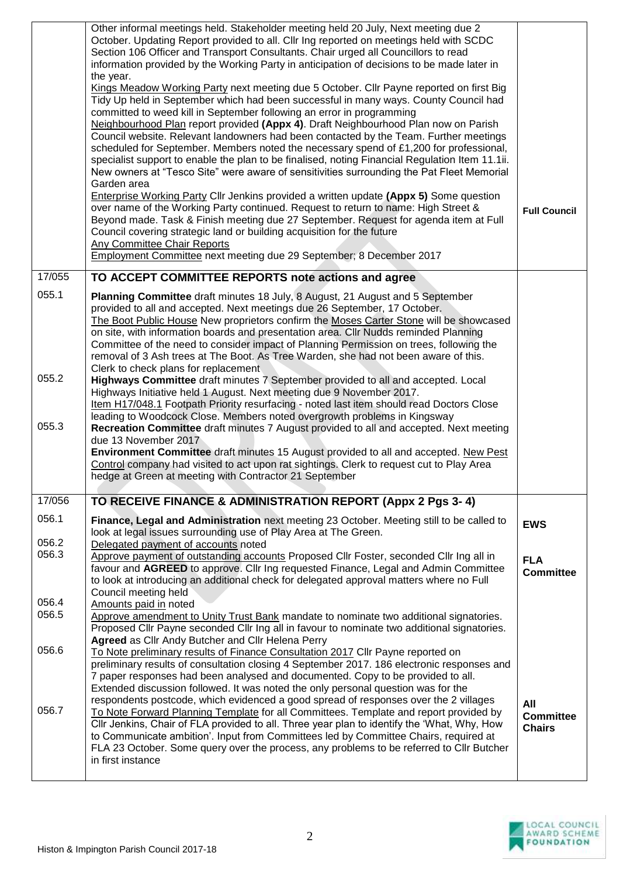|                | Other informal meetings held. Stakeholder meeting held 20 July, Next meeting due 2<br>October. Updating Report provided to all. Cllr Ing reported on meetings held with SCDC<br>Section 106 Officer and Transport Consultants. Chair urged all Councillors to read<br>information provided by the Working Party in anticipation of decisions to be made later in<br>the year.<br>Kings Meadow Working Party next meeting due 5 October. Cllr Payne reported on first Big<br>Tidy Up held in September which had been successful in many ways. County Council had<br>committed to weed kill in September following an error in programming<br>Neighbourhood Plan report provided (Appx 4). Draft Neighbourhood Plan now on Parish<br>Council website. Relevant landowners had been contacted by the Team. Further meetings<br>scheduled for September. Members noted the necessary spend of £1,200 for professional,<br>specialist support to enable the plan to be finalised, noting Financial Regulation Item 11.1ii.<br>New owners at "Tesco Site" were aware of sensitivities surrounding the Pat Fleet Memorial<br>Garden area<br><b>Enterprise Working Party Cllr Jenkins provided a written update (Appx 5) Some question</b><br>over name of the Working Party continued. Request to return to name: High Street &<br>Beyond made. Task & Finish meeting due 27 September. Request for agenda item at Full<br>Council covering strategic land or building acquisition for the future<br><b>Any Committee Chair Reports</b><br>Employment Committee next meeting due 29 September; 8 December 2017 | <b>Full Council</b>               |
|----------------|----------------------------------------------------------------------------------------------------------------------------------------------------------------------------------------------------------------------------------------------------------------------------------------------------------------------------------------------------------------------------------------------------------------------------------------------------------------------------------------------------------------------------------------------------------------------------------------------------------------------------------------------------------------------------------------------------------------------------------------------------------------------------------------------------------------------------------------------------------------------------------------------------------------------------------------------------------------------------------------------------------------------------------------------------------------------------------------------------------------------------------------------------------------------------------------------------------------------------------------------------------------------------------------------------------------------------------------------------------------------------------------------------------------------------------------------------------------------------------------------------------------------------------------------------------------------------------------------------------|-----------------------------------|
| 17/055         | TO ACCEPT COMMITTEE REPORTS note actions and agree                                                                                                                                                                                                                                                                                                                                                                                                                                                                                                                                                                                                                                                                                                                                                                                                                                                                                                                                                                                                                                                                                                                                                                                                                                                                                                                                                                                                                                                                                                                                                       |                                   |
| 055.1          | Planning Committee draft minutes 18 July, 8 August, 21 August and 5 September<br>provided to all and accepted. Next meetings due 26 September, 17 October.<br>The Boot Public House New proprietors confirm the Moses Carter Stone will be showcased<br>on site, with information boards and presentation area. Cllr Nudds reminded Planning<br>Committee of the need to consider impact of Planning Permission on trees, following the<br>removal of 3 Ash trees at The Boot. As Tree Warden, she had not been aware of this.<br>Clerk to check plans for replacement                                                                                                                                                                                                                                                                                                                                                                                                                                                                                                                                                                                                                                                                                                                                                                                                                                                                                                                                                                                                                                   |                                   |
| 055.2          | Highways Committee draft minutes 7 September provided to all and accepted. Local<br>Highways Initiative held 1 August. Next meeting due 9 November 2017.<br>Item H17/048.1 Footpath Priority resurfacing - noted last item should read Doctors Close<br>leading to Woodcock Close. Members noted overgrowth problems in Kingsway                                                                                                                                                                                                                                                                                                                                                                                                                                                                                                                                                                                                                                                                                                                                                                                                                                                                                                                                                                                                                                                                                                                                                                                                                                                                         |                                   |
| 055.3          | Recreation Committee draft minutes 7 August provided to all and accepted. Next meeting<br>due 13 November 2017<br><b>Environment Committee</b> draft minutes 15 August provided to all and accepted. New Pest<br>Control company had visited to act upon rat sightings. Clerk to request cut to Play Area<br>hedge at Green at meeting with Contractor 21 September                                                                                                                                                                                                                                                                                                                                                                                                                                                                                                                                                                                                                                                                                                                                                                                                                                                                                                                                                                                                                                                                                                                                                                                                                                      |                                   |
| 17/056         | TO RECEIVE FINANCE & ADMINISTRATION REPORT (Appx 2 Pgs 3-4)                                                                                                                                                                                                                                                                                                                                                                                                                                                                                                                                                                                                                                                                                                                                                                                                                                                                                                                                                                                                                                                                                                                                                                                                                                                                                                                                                                                                                                                                                                                                              |                                   |
| 056.1<br>056.2 | Finance, Legal and Administration next meeting 23 October. Meeting still to be called to<br>look at legal issues surrounding use of Play Area at The Green.<br>Delegated payment of accounts noted                                                                                                                                                                                                                                                                                                                                                                                                                                                                                                                                                                                                                                                                                                                                                                                                                                                                                                                                                                                                                                                                                                                                                                                                                                                                                                                                                                                                       | <b>EWS</b>                        |
| 056.3<br>056.4 | Approve payment of outstanding accounts Proposed Cllr Foster, seconded Cllr Ing all in<br>favour and AGREED to approve. Cllr Ing requested Finance, Legal and Admin Committee<br>to look at introducing an additional check for delegated approval matters where no Full<br>Council meeting held<br>Amounts paid in noted                                                                                                                                                                                                                                                                                                                                                                                                                                                                                                                                                                                                                                                                                                                                                                                                                                                                                                                                                                                                                                                                                                                                                                                                                                                                                | <b>FLA</b><br><b>Committee</b>    |
| 056.5          | Approve amendment to Unity Trust Bank mandate to nominate two additional signatories.<br>Proposed Cllr Payne seconded Cllr Ing all in favour to nominate two additional signatories.<br>Agreed as Cllr Andy Butcher and Cllr Helena Perry                                                                                                                                                                                                                                                                                                                                                                                                                                                                                                                                                                                                                                                                                                                                                                                                                                                                                                                                                                                                                                                                                                                                                                                                                                                                                                                                                                |                                   |
| 056.6          | To Note preliminary results of Finance Consultation 2017 Cllr Payne reported on<br>preliminary results of consultation closing 4 September 2017. 186 electronic responses and<br>7 paper responses had been analysed and documented. Copy to be provided to all.<br>Extended discussion followed. It was noted the only personal question was for the<br>respondents postcode, which evidenced a good spread of responses over the 2 villages                                                                                                                                                                                                                                                                                                                                                                                                                                                                                                                                                                                                                                                                                                                                                                                                                                                                                                                                                                                                                                                                                                                                                            | All                               |
| 056.7          | To Note Forward Planning Template for all Committees. Template and report provided by<br>Cllr Jenkins, Chair of FLA provided to all. Three year plan to identify the 'What, Why, How<br>to Communicate ambition'. Input from Committees led by Committee Chairs, required at<br>FLA 23 October. Some query over the process, any problems to be referred to Cllr Butcher<br>in first instance                                                                                                                                                                                                                                                                                                                                                                                                                                                                                                                                                                                                                                                                                                                                                                                                                                                                                                                                                                                                                                                                                                                                                                                                            | <b>Committee</b><br><b>Chairs</b> |